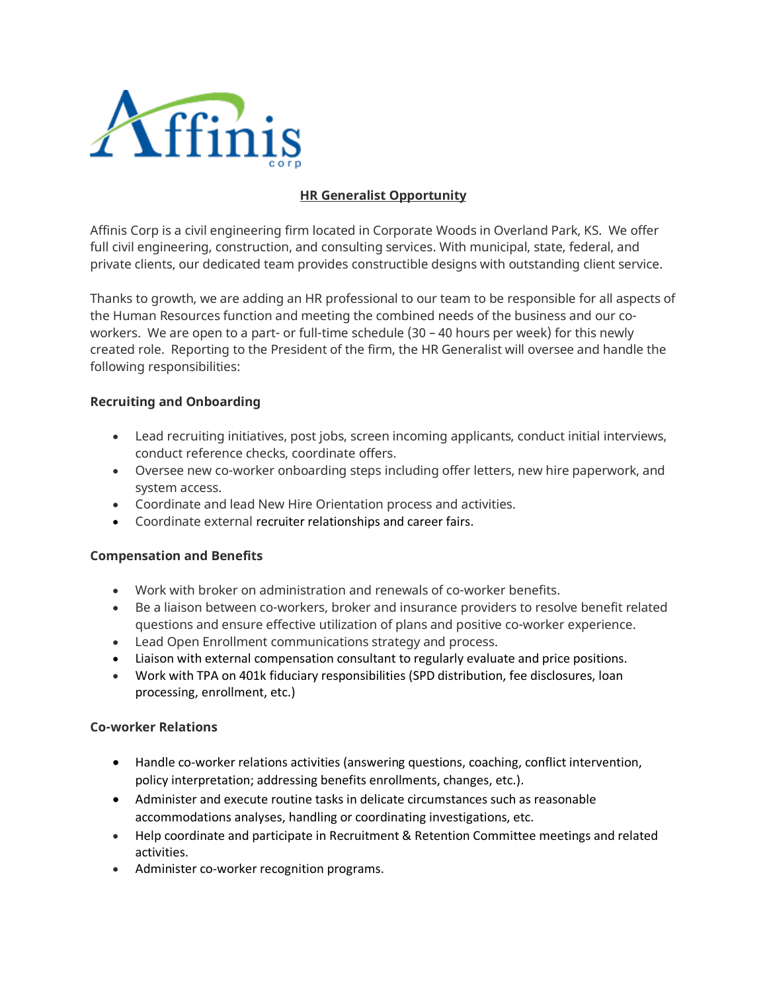

# **HR Generalist Opportunity**

Affinis Corp is a civil engineering firm located in Corporate Woods in Overland Park, KS. We offer full civil engineering, construction, and consulting services. With municipal, state, federal, and private clients, our dedicated team provides constructible designs with outstanding client service.

Thanks to growth, we are adding an HR professional to our team to be responsible for all aspects of the Human Resources function and meeting the combined needs of the business and our coworkers. We are open to a part- or full-time schedule (30 – 40 hours per week) for this newly created role. Reporting to the President of the firm, the HR Generalist will oversee and handle the following responsibilities:

### **Recruiting and Onboarding**

- Lead recruiting initiatives, post jobs, screen incoming applicants, conduct initial interviews, conduct reference checks, coordinate offers.
- Oversee new co-worker onboarding steps including offer letters, new hire paperwork, and system access.
- Coordinate and lead New Hire Orientation process and activities.
- Coordinate external recruiter relationships and career fairs.

#### **Compensation and Benefits**

- Work with broker on administration and renewals of co-worker benefits.
- Be a liaison between co-workers, broker and insurance providers to resolve benefit related questions and ensure effective utilization of plans and positive co-worker experience.
- Lead Open Enrollment communications strategy and process.
- Liaison with external compensation consultant to regularly evaluate and price positions.
- Work with TPA on 401k fiduciary responsibilities (SPD distribution, fee disclosures, loan processing, enrollment, etc.)

#### **Co-worker Relations**

- Handle co-worker relations activities (answering questions, coaching, conflict intervention, policy interpretation; addressing benefits enrollments, changes, etc.).
- Administer and execute routine tasks in delicate circumstances such as reasonable accommodations analyses, handling or coordinating investigations, etc.
- Help coordinate and participate in Recruitment & Retention Committee meetings and related activities.
- Administer co-worker recognition programs.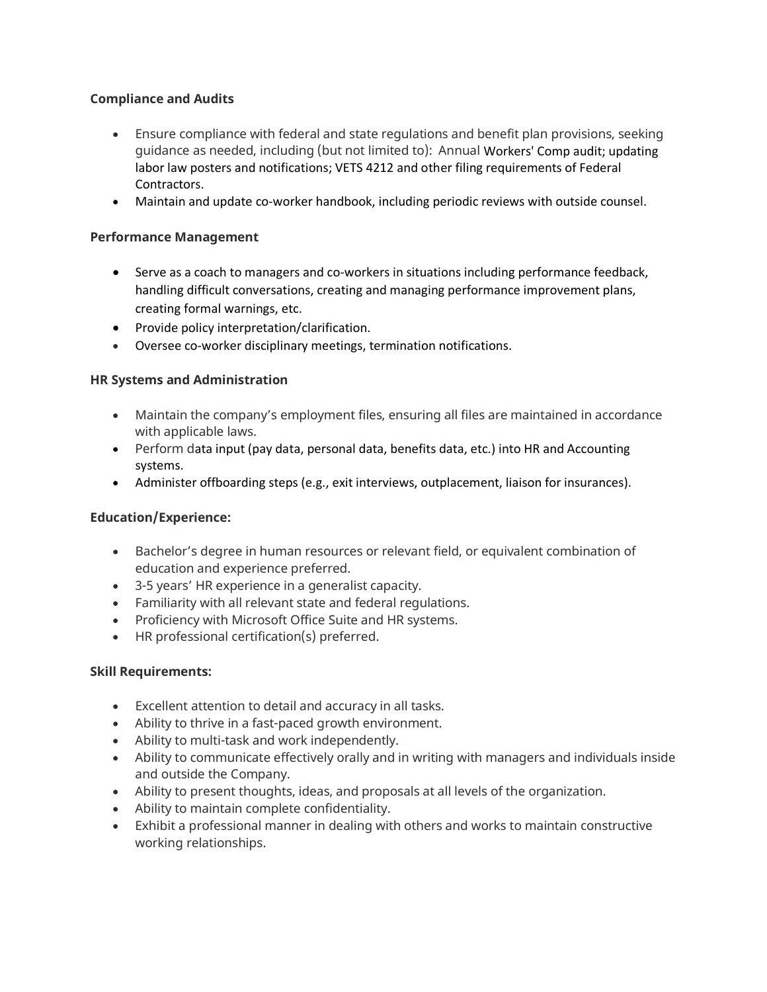## **Compliance and Audits**

- Ensure compliance with federal and state regulations and benefit plan provisions, seeking guidance as needed, including (but not limited to): Annual Workers' Comp audit; updating labor law posters and notifications; VETS 4212 and other filing requirements of Federal Contractors.
- Maintain and update co-worker handbook, including periodic reviews with outside counsel.

### **Performance Management**

- Serve as a coach to managers and co-workers in situations including performance feedback, handling difficult conversations, creating and managing performance improvement plans, creating formal warnings, etc.
- Provide policy interpretation/clarification.
- Oversee co-worker disciplinary meetings, termination notifications.

#### **HR Systems and Administration**

- Maintain the company's employment files, ensuring all files are maintained in accordance with applicable laws.
- Perform data input (pay data, personal data, benefits data, etc.) into HR and Accounting systems.
- Administer offboarding steps (e.g., exit interviews, outplacement, liaison for insurances).

#### **Education/Experience:**

- Bachelor's degree in human resources or relevant field, or equivalent combination of education and experience preferred.
- 3-5 years' HR experience in a generalist capacity.
- Familiarity with all relevant state and federal regulations.
- Proficiency with Microsoft Office Suite and HR systems.
- HR professional certification(s) preferred.

#### **Skill Requirements:**

- Excellent attention to detail and accuracy in all tasks.
- Ability to thrive in a fast-paced growth environment.
- Ability to multi-task and work independently.
- Ability to communicate effectively orally and in writing with managers and individuals inside and outside the Company.
- Ability to present thoughts, ideas, and proposals at all levels of the organization.
- Ability to maintain complete confidentiality.
- Exhibit a professional manner in dealing with others and works to maintain constructive working relationships.